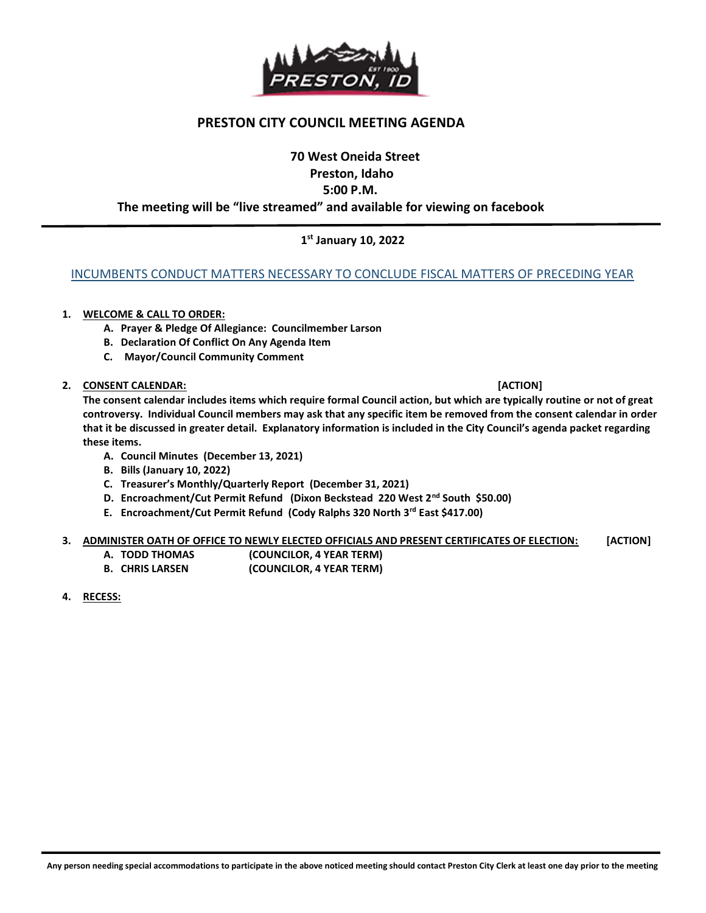

## PRESTON CITY COUNCIL MEETING AGENDA

# 70 West Oneida Street Preston, Idaho 5:00 P.M.

#### The meeting will be "live streamed" and available for viewing on facebook

## 1 st January 10, 2022

#### INCUMBENTS CONDUCT MATTERS NECESSARY TO CONCLUDE FISCAL MATTERS OF PRECEDING YEAR

#### 1. WELCOME & CALL TO ORDER:

- A. Prayer & Pledge Of Allegiance: Councilmember Larson
- B. Declaration Of Conflict On Any Agenda Item
- C. Mayor/Council Community Comment

#### 2. CONSENT CALENDAR: [ACTION]

The consent calendar includes items which require formal Council action, but which are typically routine or not of great controversy. Individual Council members may ask that any specific item be removed from the consent calendar in order that it be discussed in greater detail. Explanatory information is included in the City Council's agenda packet regarding these items.

- A. Council Minutes (December 13, 2021)
- B. Bills (January 10, 2022)
- C. Treasurer's Monthly/Quarterly Report (December 31, 2021)
- D. Encroachment/Cut Permit Refund (Dixon Beckstead 220 West 2<sup>nd</sup> South \$50.00)
- E. Encroachment/Cut Permit Refund (Cody Ralphs 320 North 3rd East \$417.00)

#### 3. ADMINISTER OATH OF OFFICE TO NEWLY ELECTED OFFICIALS AND PRESENT CERTIFICATES OF ELECTION: [ACTION]

- A. TODD THOMAS (COUNCILOR, 4 YEAR TERM)
- B. CHRIS LARSEN (COUNCILOR, 4 YEAR TERM)
- 4. RECESS:

j